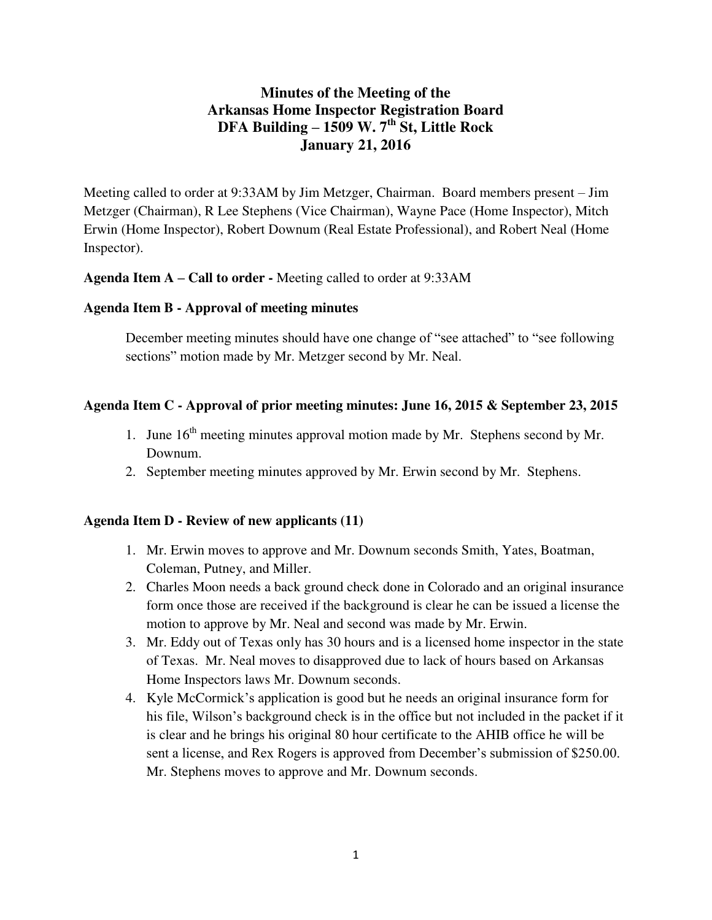# **Minutes of the Meeting of the Arkansas Home Inspector Registration Board DFA Building – 1509 W. 7th St, Little Rock January 21, 2016**

Meeting called to order at 9:33AM by Jim Metzger, Chairman.Board members present – Jim Metzger (Chairman), R Lee Stephens (Vice Chairman), Wayne Pace (Home Inspector), Mitch Erwin (Home Inspector), Robert Downum (Real Estate Professional), and Robert Neal (Home Inspector).

**Agenda Item A – Call to order -** Meeting called to order at 9:33AM

### **Agenda Item B - Approval of meeting minutes**

December meeting minutes should have one change of "see attached" to "see following sections" motion made by Mr. Metzger second by Mr. Neal.

### **Agenda Item C - Approval of prior meeting minutes: June 16, 2015 & September 23, 2015**

- 1. June  $16<sup>th</sup>$  meeting minutes approval motion made by Mr. Stephens second by Mr. Downum.
- 2. September meeting minutes approved by Mr. Erwin second by Mr. Stephens.

#### **Agenda Item D - Review of new applicants (11)**

- 1. Mr. Erwin moves to approve and Mr. Downum seconds Smith, Yates, Boatman, Coleman, Putney, and Miller.
- 2. Charles Moon needs a back ground check done in Colorado and an original insurance form once those are received if the background is clear he can be issued a license the motion to approve by Mr. Neal and second was made by Mr. Erwin.
- 3. Mr. Eddy out of Texas only has 30 hours and is a licensed home inspector in the state of Texas. Mr. Neal moves to disapproved due to lack of hours based on Arkansas Home Inspectors laws Mr. Downum seconds.
- 4. Kyle McCormick's application is good but he needs an original insurance form for his file, Wilson's background check is in the office but not included in the packet if it is clear and he brings his original 80 hour certificate to the AHIB office he will be sent a license, and Rex Rogers is approved from December's submission of \$250.00. Mr. Stephens moves to approve and Mr. Downum seconds.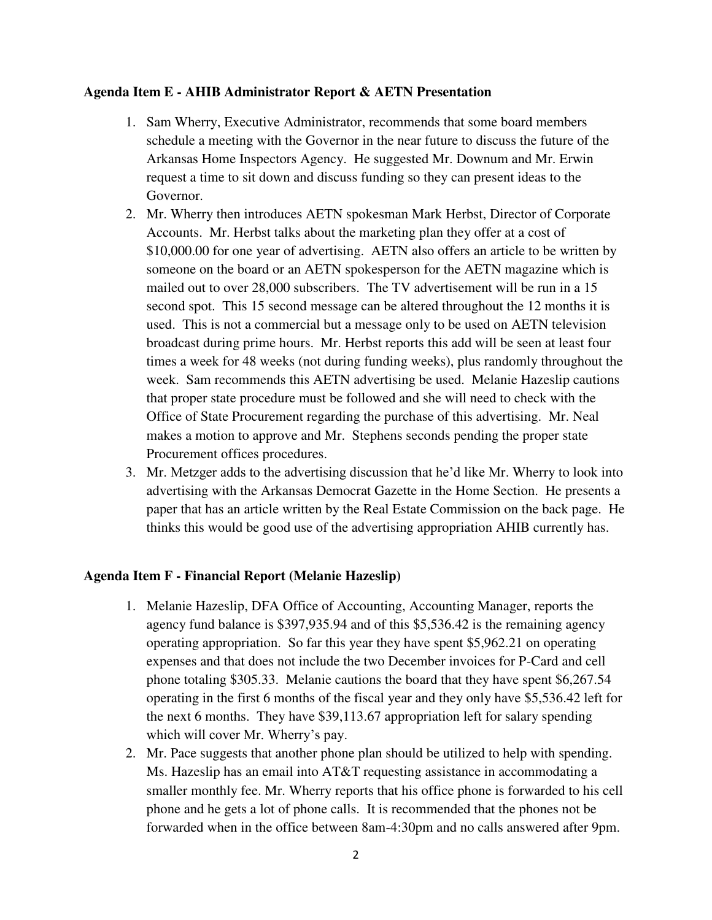#### **Agenda Item E - AHIB Administrator Report & AETN Presentation**

- 1. Sam Wherry, Executive Administrator, recommends that some board members schedule a meeting with the Governor in the near future to discuss the future of the Arkansas Home Inspectors Agency. He suggested Mr. Downum and Mr. Erwin request a time to sit down and discuss funding so they can present ideas to the Governor.
- 2. Mr. Wherry then introduces AETN spokesman Mark Herbst, Director of Corporate Accounts. Mr. Herbst talks about the marketing plan they offer at a cost of \$10,000.00 for one year of advertising. AETN also offers an article to be written by someone on the board or an AETN spokesperson for the AETN magazine which is mailed out to over 28,000 subscribers. The TV advertisement will be run in a 15 second spot. This 15 second message can be altered throughout the 12 months it is used. This is not a commercial but a message only to be used on AETN television broadcast during prime hours. Mr. Herbst reports this add will be seen at least four times a week for 48 weeks (not during funding weeks), plus randomly throughout the week. Sam recommends this AETN advertising be used. Melanie Hazeslip cautions that proper state procedure must be followed and she will need to check with the Office of State Procurement regarding the purchase of this advertising. Mr. Neal makes a motion to approve and Mr. Stephens seconds pending the proper state Procurement offices procedures.
- 3. Mr. Metzger adds to the advertising discussion that he'd like Mr. Wherry to look into advertising with the Arkansas Democrat Gazette in the Home Section. He presents a paper that has an article written by the Real Estate Commission on the back page. He thinks this would be good use of the advertising appropriation AHIB currently has.

# **Agenda Item F - Financial Report (Melanie Hazeslip)**

- 1. Melanie Hazeslip, DFA Office of Accounting, Accounting Manager, reports the agency fund balance is \$397,935.94 and of this \$5,536.42 is the remaining agency operating appropriation. So far this year they have spent \$5,962.21 on operating expenses and that does not include the two December invoices for P-Card and cell phone totaling \$305.33. Melanie cautions the board that they have spent \$6,267.54 operating in the first 6 months of the fiscal year and they only have \$5,536.42 left for the next 6 months. They have \$39,113.67 appropriation left for salary spending which will cover Mr. Wherry's pay.
- 2. Mr. Pace suggests that another phone plan should be utilized to help with spending. Ms. Hazeslip has an email into AT&T requesting assistance in accommodating a smaller monthly fee. Mr. Wherry reports that his office phone is forwarded to his cell phone and he gets a lot of phone calls. It is recommended that the phones not be forwarded when in the office between 8am-4:30pm and no calls answered after 9pm.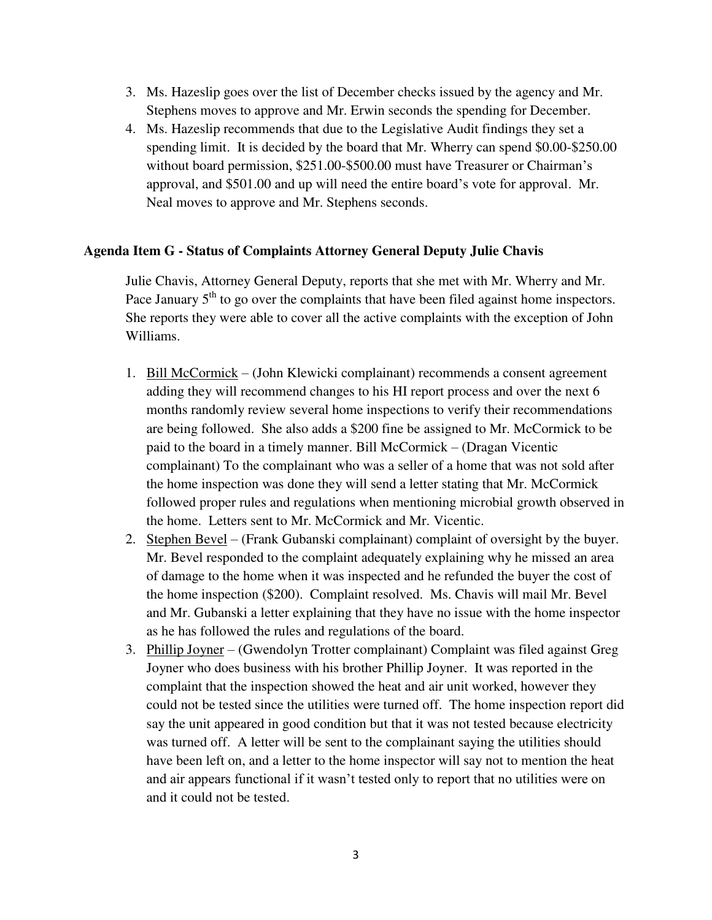- 3. Ms. Hazeslip goes over the list of December checks issued by the agency and Mr. Stephens moves to approve and Mr. Erwin seconds the spending for December.
- 4. Ms. Hazeslip recommends that due to the Legislative Audit findings they set a spending limit. It is decided by the board that Mr. Wherry can spend \$0.00-\$250.00 without board permission, \$251.00-\$500.00 must have Treasurer or Chairman's approval, and \$501.00 and up will need the entire board's vote for approval. Mr. Neal moves to approve and Mr. Stephens seconds.

# **Agenda Item G - Status of Complaints Attorney General Deputy Julie Chavis**

Julie Chavis, Attorney General Deputy, reports that she met with Mr. Wherry and Mr. Pace January  $5<sup>th</sup>$  to go over the complaints that have been filed against home inspectors. She reports they were able to cover all the active complaints with the exception of John Williams.

- 1. Bill McCormick (John Klewicki complainant) recommends a consent agreement adding they will recommend changes to his HI report process and over the next 6 months randomly review several home inspections to verify their recommendations are being followed. She also adds a \$200 fine be assigned to Mr. McCormick to be paid to the board in a timely manner. Bill McCormick – (Dragan Vicentic complainant) To the complainant who was a seller of a home that was not sold after the home inspection was done they will send a letter stating that Mr. McCormick followed proper rules and regulations when mentioning microbial growth observed in the home. Letters sent to Mr. McCormick and Mr. Vicentic.
- 2. Stephen Bevel (Frank Gubanski complainant) complaint of oversight by the buyer. Mr. Bevel responded to the complaint adequately explaining why he missed an area of damage to the home when it was inspected and he refunded the buyer the cost of the home inspection (\$200). Complaint resolved. Ms. Chavis will mail Mr. Bevel and Mr. Gubanski a letter explaining that they have no issue with the home inspector as he has followed the rules and regulations of the board.
- 3. Phillip Joyner (Gwendolyn Trotter complainant) Complaint was filed against Greg Joyner who does business with his brother Phillip Joyner. It was reported in the complaint that the inspection showed the heat and air unit worked, however they could not be tested since the utilities were turned off. The home inspection report did say the unit appeared in good condition but that it was not tested because electricity was turned off. A letter will be sent to the complainant saying the utilities should have been left on, and a letter to the home inspector will say not to mention the heat and air appears functional if it wasn't tested only to report that no utilities were on and it could not be tested.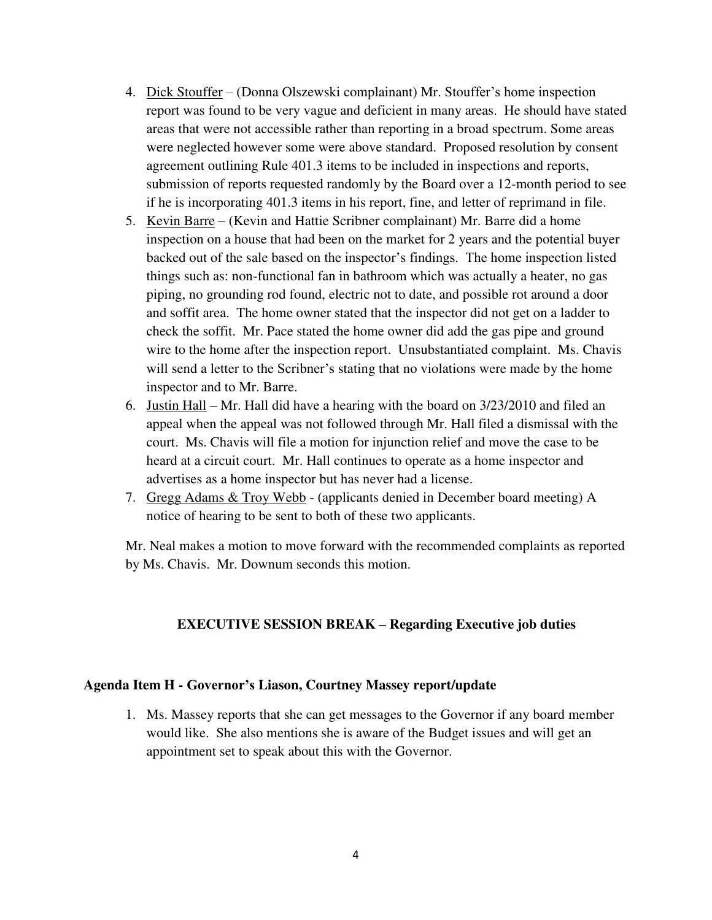- 4. Dick Stouffer (Donna Olszewski complainant) Mr. Stouffer's home inspection report was found to be very vague and deficient in many areas. He should have stated areas that were not accessible rather than reporting in a broad spectrum. Some areas were neglected however some were above standard. Proposed resolution by consent agreement outlining Rule 401.3 items to be included in inspections and reports, submission of reports requested randomly by the Board over a 12-month period to see if he is incorporating 401.3 items in his report, fine, and letter of reprimand in file.
- 5. Kevin Barre (Kevin and Hattie Scribner complainant) Mr. Barre did a home inspection on a house that had been on the market for 2 years and the potential buyer backed out of the sale based on the inspector's findings. The home inspection listed things such as: non-functional fan in bathroom which was actually a heater, no gas piping, no grounding rod found, electric not to date, and possible rot around a door and soffit area. The home owner stated that the inspector did not get on a ladder to check the soffit. Mr. Pace stated the home owner did add the gas pipe and ground wire to the home after the inspection report. Unsubstantiated complaint. Ms. Chavis will send a letter to the Scribner's stating that no violations were made by the home inspector and to Mr. Barre.
- 6. Justin Hall Mr. Hall did have a hearing with the board on 3/23/2010 and filed an appeal when the appeal was not followed through Mr. Hall filed a dismissal with the court. Ms. Chavis will file a motion for injunction relief and move the case to be heard at a circuit court. Mr. Hall continues to operate as a home inspector and advertises as a home inspector but has never had a license.
- 7. Gregg Adams & Troy Webb (applicants denied in December board meeting) A notice of hearing to be sent to both of these two applicants.

Mr. Neal makes a motion to move forward with the recommended complaints as reported by Ms. Chavis. Mr. Downum seconds this motion.

# **EXECUTIVE SESSION BREAK – Regarding Executive job duties**

#### **Agenda Item H - Governor's Liason, Courtney Massey report/update**

1. Ms. Massey reports that she can get messages to the Governor if any board member would like. She also mentions she is aware of the Budget issues and will get an appointment set to speak about this with the Governor.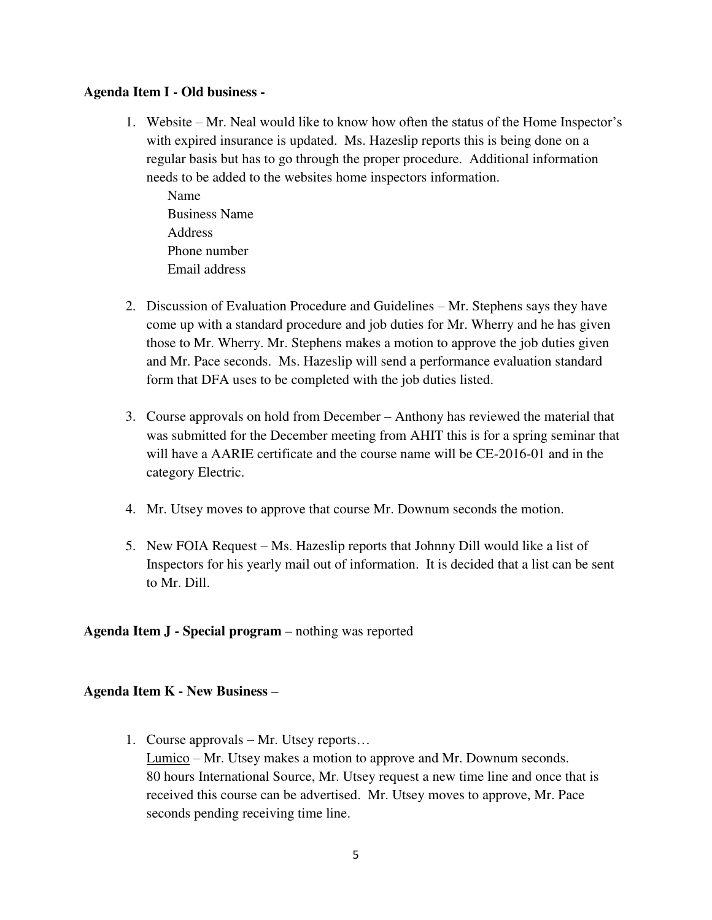# **Agenda Item I - Old business -**

1. Website – Mr. Neal would like to know how often the status of the Home Inspector's with expired insurance is updated. Ms. Hazeslip reports this is being done on a regular basis but has to go through the proper procedure. Additional information needs to be added to the websites home inspectors information.

Name Business Name Address Phone number Email address

- 2. Discussion of Evaluation Procedure and Guidelines Mr. Stephens says they have come up with a standard procedure and job duties for Mr. Wherry and he has given those to Mr. Wherry. Mr. Stephens makes a motion to approve the job duties given and Mr. Pace seconds. Ms. Hazeslip will send a performance evaluation standard form that DFA uses to be completed with the job duties listed.
- 3. Course approvals on hold from December Anthony has reviewed the material that was submitted for the December meeting from AHIT this is for a spring seminar that will have a AARIE certificate and the course name will be CE-2016-01 and in the category Electric.
- 4. Mr. Utsey moves to approve that course Mr. Downum seconds the motion.
- 5. New FOIA Request Ms. Hazeslip reports that Johnny Dill would like a list of Inspectors for his yearly mail out of information. It is decided that a list can be sent to Mr. Dill.

**Agenda Item J - Special program –** nothing was reported

# **Agenda Item K - New Business –**

1. Course approvals – Mr. Utsey reports… Lumico – Mr. Utsey makes a motion to approve and Mr. Downum seconds. 80 hours International Source, Mr. Utsey request a new time line and once that is received this course can be advertised. Mr. Utsey moves to approve, Mr. Pace seconds pending receiving time line.